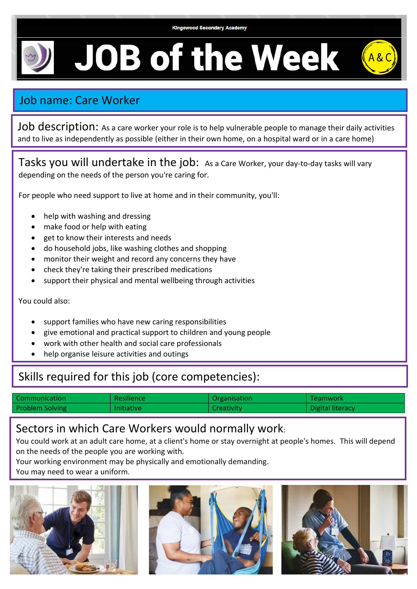**Kingswood Secondary Academy** 

**JOB of the Week** 

## Job name: Care Worker

Job description: As a care worker your role is to help vulnerable people to manage their daily activities and to live as independently as possible (either in their own home, on a hospital ward or in a care home)

Tasks you will undertake in the job: As a Care Worker, your day-to-day tasks will vary depending on the needs of the person you're caring for.

For people who need support to live at home and in their community, you'll:

- help with washing and dressing
- make food or help with eating
- get to know their interests and needs
- do household jobs, like washing clothes and shopping
- monitor their weight and record any concerns they have
- check they're taking their prescribed medications
- support their physical and mental wellbeing through activities

You could also:

- support families who have new caring responsibilities
- give emotional and practical support to children and young people
- work with other health and social care professionals
- help organise leisure activities and outings

## Skills required for this job (core competencies):

| Communication          | <b>Resilience</b> | Organisation      | Teamwork         |
|------------------------|-------------------|-------------------|------------------|
| <b>Problem Solving</b> | Initiative        | <b>Creativity</b> | Digital literacy |

## Sectors in which Care Workers would normally work:

You could work at an adult care home, at a client's home or stay overnight at people's homes. This will depend on the needs of the people you are working with.

Your working environment may be physically and emotionally demanding.

You may need to wear a uniform.